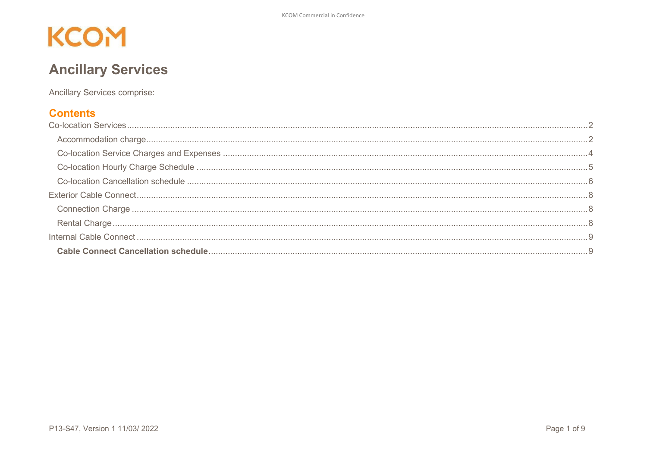### **Ancillary Services**

**Ancillary Services comprise:** 

#### **Contents**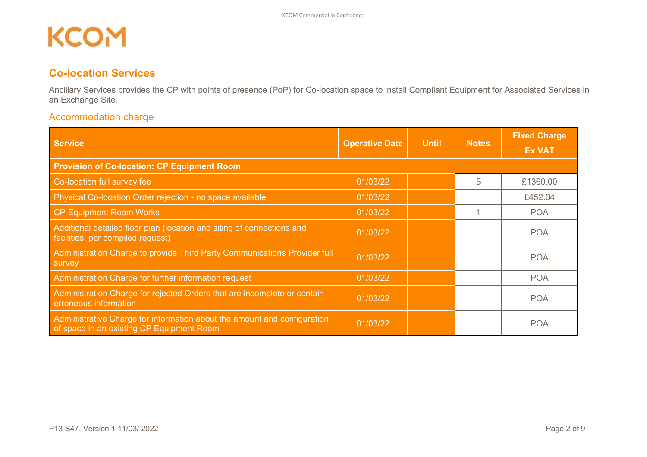### <span id="page-1-0"></span>**Co-location Services**

Ancillary Services provides the CP with points of presence (PoP) for Co-location space to install Compliant Equipment for Associated Services in an Exchange Site.

#### <span id="page-1-1"></span>Accommodation charge

| <b>Service</b><br><b>Operative Date</b>                                                                               |          | <b>Until</b> | <b>Notes</b> | <b>Fixed Charge</b> |
|-----------------------------------------------------------------------------------------------------------------------|----------|--------------|--------------|---------------------|
|                                                                                                                       |          |              |              | <b>Ex VAT</b>       |
| <b>Provision of Co-location: CP Equipment Room</b>                                                                    |          |              |              |                     |
| Co-location full survey fee                                                                                           | 01/03/22 |              | 5            | £1360.00            |
| Physical Co-location Order rejection - no space available                                                             | 01/03/22 |              |              | £452.04             |
| CP Equipment Room Works                                                                                               | 01/03/22 |              |              | <b>POA</b>          |
| Additional detailed floor plan (location and siting of connections and<br>facilities, per compiled request)           | 01/03/22 |              |              | <b>POA</b>          |
| Administration Charge to provide Third Party Communications Provider full<br>survey                                   | 01/03/22 |              |              | <b>POA</b>          |
| Administration Charge for further information request                                                                 | 01/03/22 |              |              | <b>POA</b>          |
| Administration Charge for rejected Orders that are incomplete or contain<br>erroneous information                     | 01/03/22 |              |              | <b>POA</b>          |
| Administrative Charge for information about the amount and configuration<br>of space in an existing CP Equipment Room | 01/03/22 |              |              | <b>POA</b>          |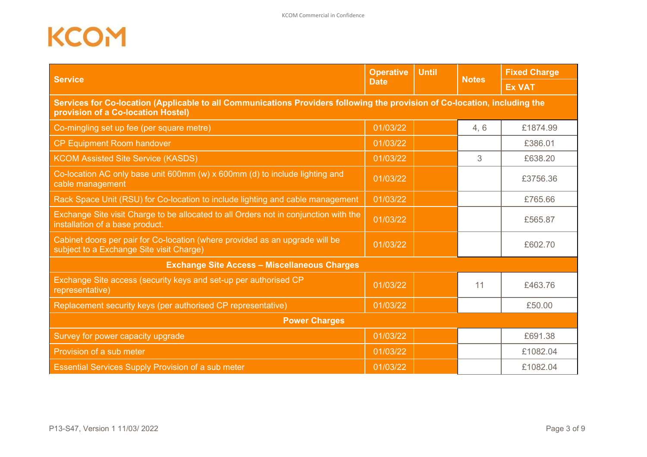| <b>Service</b>                                                                                                                                                   | <b>Operative</b> | <b>Until</b> | <b>Notes</b> | <b>Fixed Charge</b> |  |  |
|------------------------------------------------------------------------------------------------------------------------------------------------------------------|------------------|--------------|--------------|---------------------|--|--|
|                                                                                                                                                                  | <b>Date</b>      |              |              | <b>Ex VAT</b>       |  |  |
| Services for Co-location (Applicable to all Communications Providers following the provision of Co-location, including the<br>provision of a Co-location Hostel) |                  |              |              |                     |  |  |
| Co-mingling set up fee (per square metre)                                                                                                                        | 01/03/22         |              | 4, 6         | £1874.99            |  |  |
| <b>CP Equipment Room handover</b>                                                                                                                                | 01/03/22         |              |              | £386.01             |  |  |
| <b>KCOM Assisted Site Service (KASDS)</b>                                                                                                                        | 01/03/22         |              | 3            | £638.20             |  |  |
| Co-location AC only base unit 600mm (w) x 600mm (d) to include lighting and<br>cable management                                                                  | 01/03/22         |              |              | £3756.36            |  |  |
| Rack Space Unit (RSU) for Co-location to include lighting and cable management                                                                                   | 01/03/22         |              |              | £765.66             |  |  |
| Exchange Site visit Charge to be allocated to all Orders not in conjunction with the<br>installation of a base product.                                          | 01/03/22         |              |              | £565.87             |  |  |
| Cabinet doors per pair for Co-location (where provided as an upgrade will be<br>subject to a Exchange Site visit Charge)                                         | 01/03/22         |              |              | £602.70             |  |  |
| <b>Exchange Site Access - Miscellaneous Charges</b>                                                                                                              |                  |              |              |                     |  |  |
| Exchange Site access (security keys and set-up per authorised CP<br>representative)                                                                              | 01/03/22         |              | 11           | £463.76             |  |  |
| Replacement security keys (per authorised CP representative)                                                                                                     | 01/03/22         |              |              | £50.00              |  |  |
| <b>Power Charges</b>                                                                                                                                             |                  |              |              |                     |  |  |
| Survey for power capacity upgrade                                                                                                                                | 01/03/22         |              |              | £691.38             |  |  |
| Provision of a sub meter                                                                                                                                         | 01/03/22         |              |              | £1082.04            |  |  |
| <b>Essential Services Supply Provision of a sub meter</b>                                                                                                        | 01/03/22         |              |              | £1082.04            |  |  |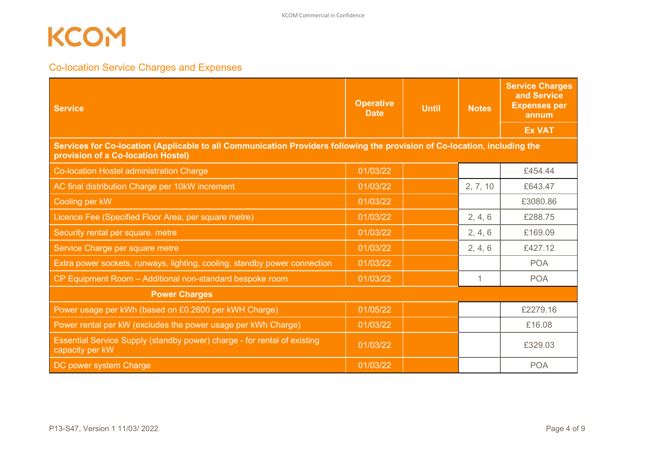### <span id="page-3-0"></span>Co-location Service Charges and Expenses

| <b>Service</b>                                                                                                                                                  | <b>Operative</b><br><b>Date</b> | <b>Until</b> | <b>Notes</b> | <b>Service Charges</b><br>and Service<br><b>Expenses per</b><br>annum |
|-----------------------------------------------------------------------------------------------------------------------------------------------------------------|---------------------------------|--------------|--------------|-----------------------------------------------------------------------|
|                                                                                                                                                                 |                                 |              |              | <b>Ex VAT</b>                                                         |
| Services for Co-location (Applicable to all Communication Providers following the provision of Co-location, including the<br>provision of a Co-location Hostel) |                                 |              |              |                                                                       |
| Co-location Hostel administration Charge                                                                                                                        | 01/03/22                        |              |              | £454.44                                                               |
| AC final distribution Charge per 10kW increment                                                                                                                 | 01/03/22                        |              | 2, 7, 10     | £643.47                                                               |
| Cooling per kW                                                                                                                                                  | 01/03/22                        |              |              | £3080.86                                                              |
| Licence Fee (Specified Floor Area, per square metre)                                                                                                            | 01/03/22                        |              | 2, 4, 6      | £288.75                                                               |
| Security rental per square. metre                                                                                                                               | 01/03/22                        |              | 2, 4, 6      | £169.09                                                               |
| Service Charge per square metre                                                                                                                                 | 01/03/22                        |              | 2, 4, 6      | £427.12                                                               |
| Extra power sockets, runways, lighting, cooling, standby power connection                                                                                       | 01/03/22                        |              |              | <b>POA</b>                                                            |
| CP Equipment Room - Additional non-standard bespoke room                                                                                                        | 01/03/22                        |              | 1            | <b>POA</b>                                                            |
| <b>Power Charges</b>                                                                                                                                            |                                 |              |              |                                                                       |
| Power usage per kWh (based on £0.2600 per kWH Charge)                                                                                                           | 01/05/22                        |              |              | £2279.16                                                              |
| Power rental per kW (excludes the power usage per kWh Charge)                                                                                                   | 01/03/22                        |              |              | £16.08                                                                |
| Essential Service Supply (standby power) charge - for rental of existing<br>capacity per kW                                                                     | 01/03/22                        |              |              | £329.03                                                               |
| DC power system Charge                                                                                                                                          | 01/03/22                        |              |              | <b>POA</b>                                                            |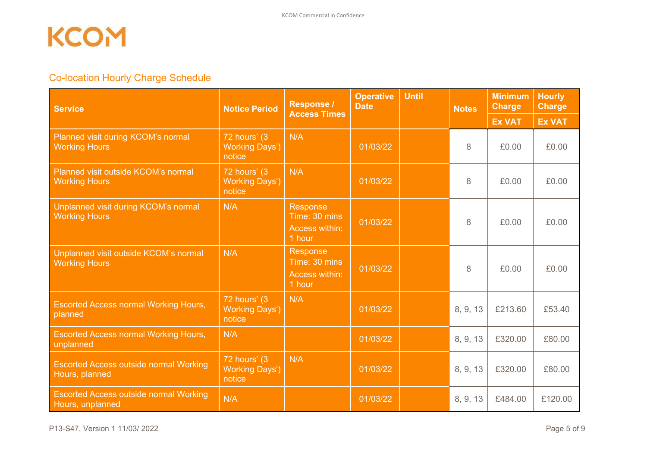### <span id="page-4-0"></span>Co-location Hourly Charge Schedule

| <b>Service</b>                                                    | <b>Notice Period</b>                                          | Response /<br><b>Access Times</b>                     | <b>Operative</b><br><b>Date</b> | <b>Until</b> | <b>Notes</b> | <b>Minimum</b><br><b>Charge</b> | <b>Hourly</b><br><b>Charge</b> |
|-------------------------------------------------------------------|---------------------------------------------------------------|-------------------------------------------------------|---------------------------------|--------------|--------------|---------------------------------|--------------------------------|
|                                                                   |                                                               |                                                       |                                 |              |              | <b>Ex VAT</b>                   | <b>Ex VAT</b>                  |
| Planned visit during KCOM's normal<br><b>Working Hours</b>        | $72$ hours' $\overline{3}$<br><b>Working Days')</b><br>notice | N/A                                                   | 01/03/22                        |              | 8            | £0.00                           | £0.00                          |
| Planned visit outside KCOM's normal<br><b>Working Hours</b>       | 72 hours' (3)<br><b>Working Days')</b><br>notice              | N/A                                                   | 01/03/22                        |              | 8            | £0.00                           | £0.00                          |
| Unplanned visit during KCOM's normal<br><b>Working Hours</b>      | N/A                                                           | Response<br>Time: 30 mins<br>Access within:<br>1 hour | 01/03/22                        |              | 8            | £0.00                           | £0.00                          |
| Unplanned visit outside KCOM's normal<br><b>Working Hours</b>     | N/A                                                           | Response<br>Time: 30 mins<br>Access within:<br>1 hour | 01/03/22                        |              | 8            | £0.00                           | £0.00                          |
| <b>Escorted Access normal Working Hours,</b><br>planned           | $72$ hours' $\overline{3}$<br><b>Working Days')</b><br>notice | N/A                                                   | 01/03/22                        |              | 8, 9, 13     | £213.60                         | £53.40                         |
| <b>Escorted Access normal Working Hours,</b><br>unplanned         | N/A                                                           |                                                       | 01/03/22                        |              | 8, 9, 13     | £320.00                         | £80.00                         |
| <b>Escorted Access outside normal Working</b><br>Hours, planned   | $72$ hours' $(3)$<br><b>Working Days')</b><br>notice          | N/A                                                   | 01/03/22                        |              | 8, 9, 13     | £320.00                         | £80.00                         |
| <b>Escorted Access outside normal Working</b><br>Hours, unplanned | N/A                                                           |                                                       | 01/03/22                        |              | 8, 9, 13     | £484.00                         | £120.00                        |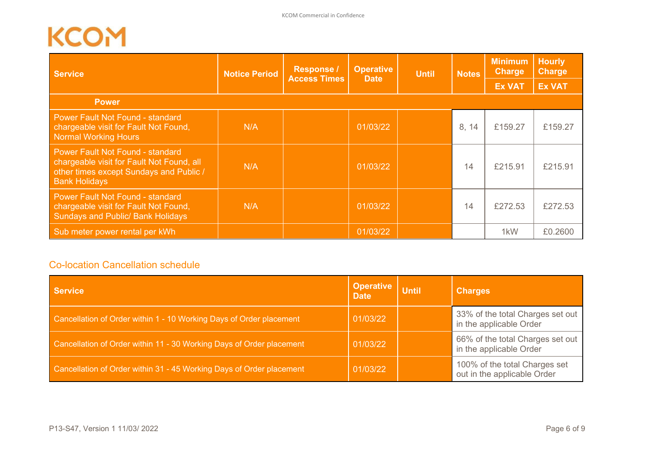| <b>Service</b>                                                                                                                                          | <b>Notice Period</b> | <b>Operative</b><br><b>Response /</b><br><b>Until</b><br><b>Access Times</b> |          |  | <b>Date</b> |               | <b>Minimum</b><br><b>Charge</b><br>Notes |  | <b>Hourly</b><br><b>Charge</b> |
|---------------------------------------------------------------------------------------------------------------------------------------------------------|----------------------|------------------------------------------------------------------------------|----------|--|-------------|---------------|------------------------------------------|--|--------------------------------|
|                                                                                                                                                         |                      |                                                                              |          |  |             | <b>Ex VAT</b> | <b>Ex VAT</b>                            |  |                                |
| <b>Power</b>                                                                                                                                            |                      |                                                                              |          |  |             |               |                                          |  |                                |
| <b>Power Fault Not Found - standard</b><br>chargeable visit for Fault Not Found,<br><b>Normal Working Hours</b>                                         | N/A                  |                                                                              | 01/03/22 |  | 8, 14       | £159.27       | £159.27                                  |  |                                |
| <b>Power Fault Not Found - standard</b><br>chargeable visit for Fault Not Found, all<br>other times except Sundays and Public /<br><b>Bank Holidays</b> | N/A                  |                                                                              | 01/03/22 |  | 14          | £215.91       | £215.91                                  |  |                                |
| <b>Power Fault Not Found - standard</b><br>chargeable visit for Fault Not Found,<br><b>Sundays and Public/ Bank Holidays</b>                            | N/A                  |                                                                              | 01/03/22 |  | 14          | £272.53       | £272.53                                  |  |                                |
| Sub meter power rental per kWh                                                                                                                          |                      |                                                                              | 01/03/22 |  |             | 1kW           | £0.2600                                  |  |                                |

### <span id="page-5-0"></span>Co-location Cancellation schedule

| <b>Service</b>                                                       | <b>Operative</b><br><b>Date</b> | <b>Until</b> | <b>Charges</b>                                               |
|----------------------------------------------------------------------|---------------------------------|--------------|--------------------------------------------------------------|
| Cancellation of Order within 1 - 10 Working Days of Order placement  | 01/03/22                        |              | 33% of the total Charges set out<br>in the applicable Order  |
| Cancellation of Order within 11 - 30 Working Days of Order placement | 01/03/22                        |              | 66% of the total Charges set out<br>in the applicable Order  |
| Cancellation of Order within 31 - 45 Working Days of Order placement | 01/03/22                        |              | 100% of the total Charges set<br>out in the applicable Order |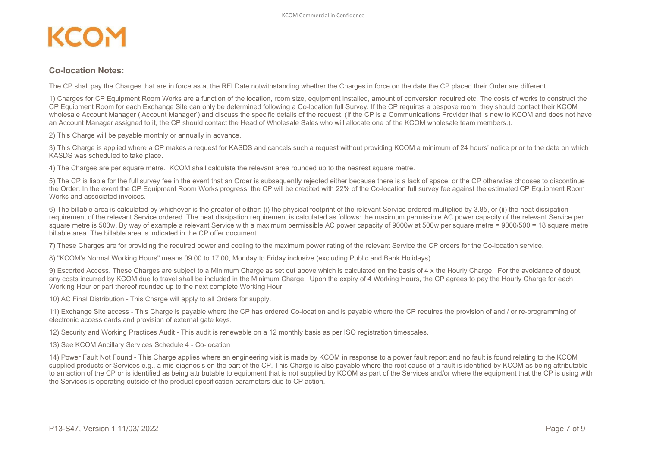## **KCO**

#### **Co-location Notes:**

The CP shall pay the Charges that are in force as at the RFI Date notwithstanding whether the Charges in force on the date the CP placed their Order are different.

1) Charges for CP Equipment Room Works are a function of the location, room size, equipment installed, amount of conversion required etc. The costs of works to construct the CP Equipment Room for each Exchange Site can only be determined following a Co-location full Survey. If the CP requires a bespoke room, they should contact their KCOM wholesale Account Manager ('Account Manager') and discuss the specific details of the request. (If the CP is a Communications Provider that is new to KCOM and does not have an Account Manager assigned to it, the CP should contact the Head of Wholesale Sales who will allocate one of the KCOM wholesale team members.).

2) This Charge will be payable monthly or annually in advance.

3) This Charge is applied where a CP makes a request for KASDS and cancels such a request without providing KCOM a minimum of 24 hours' notice prior to the date on which KASDS was scheduled to take place.

4) The Charges are per square metre. KCOM shall calculate the relevant area rounded up to the nearest square metre.

5) The CP is liable for the full survey fee in the event that an Order is subsequently rejected either because there is a lack of space, or the CP otherwise chooses to discontinue the Order. In the event the CP Equipment Room Works progress, the CP will be credited with 22% of the Co-location full survey fee against the estimated CP Equipment Room Works and associated invoices.

6) The billable area is calculated by whichever is the greater of either: (i) the physical footprint of the relevant Service ordered multiplied by 3.85, or (ii) the heat dissipation requirement of the relevant Service ordered. The heat dissipation requirement is calculated as follows: the maximum permissible AC power capacity of the relevant Service per square metre is 500w. By way of example a relevant Service with a maximum permissible AC power capacity of 9000w at 500w per square metre = 9000/500 = 18 square metre billable area. The billable area is indicated in the CP offer document.

7) These Charges are for providing the required power and cooling to the maximum power rating of the relevant Service the CP orders for the Co-location service.

8) "KCOM's Normal Working Hours" means 09.00 to 17.00, Monday to Friday inclusive (excluding Public and Bank Holidays).

9) Escorted Access. These Charges are subject to a Minimum Charge as set out above which is calculated on the basis of 4 x the Hourly Charge. For the avoidance of doubt, any costs incurred by KCOM due to travel shall be included in the Minimum Charge. Upon the expiry of 4 Working Hours, the CP agrees to pay the Hourly Charge for each Working Hour or part thereof rounded up to the next complete Working Hour.

10) AC Final Distribution - This Charge will apply to all Orders for supply.

11) Exchange Site access - This Charge is payable where the CP has ordered Co-location and is payable where the CP requires the provision of and / or re-programming of electronic access cards and provision of external gate keys.

12) Security and Working Practices Audit - This audit is renewable on a 12 monthly basis as per ISO registration timescales.

13) See KCOM Ancillary Services Schedule 4 - Co-location

14) Power Fault Not Found - This Charge applies where an engineering visit is made by KCOM in response to a power fault report and no fault is found relating to the KCOM supplied products or Services e.g., a mis-diagnosis on the part of the CP. This Charge is also payable where the root cause of a fault is identified by KCOM as being attributable to an action of the CP or is identified as being attributable to equipment that is not supplied by KCOM as part of the Services and/or where the equipment that the CP is using with the Services is operating outside of the product specification parameters due to CP action.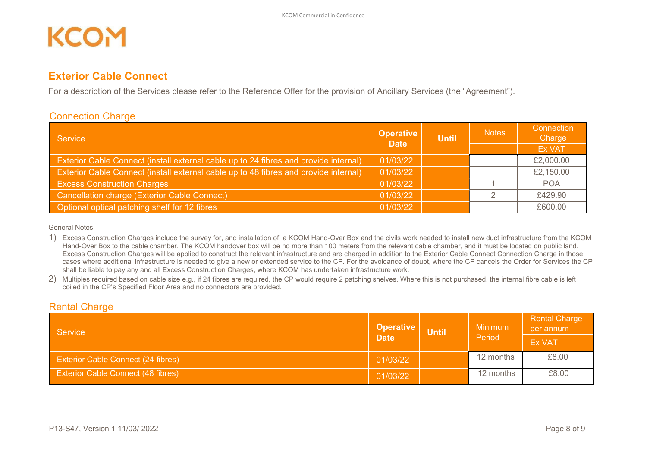#### <span id="page-7-0"></span>**Exterior Cable Connect**

For a description of the Services please refer to the Reference Offer for the provision of Ancillary Services (the "Agreement").

#### <span id="page-7-1"></span>Connection Charge

| Service                                                                              | <b>Operative</b><br><b>Date</b> | <b>Until</b> | <b>Notes</b> | Connection<br>Charge |
|--------------------------------------------------------------------------------------|---------------------------------|--------------|--------------|----------------------|
|                                                                                      |                                 |              |              | <b>Ex VAT</b>        |
| Exterior Cable Connect (install external cable up to 24 fibres and provide internal) | 01/03/22                        |              |              | £2,000.00            |
| Exterior Cable Connect (install external cable up to 48 fibres and provide internal) | 01/03/22                        |              |              | £2,150.00            |
| <b>Excess Construction Charges</b>                                                   | 01/03/22                        |              |              | <b>POA</b>           |
| Cancellation charge (Exterior Cable Connect)                                         | 01/03/22                        |              |              | £429.90              |
| Optional optical patching shelf for 12 fibres                                        | 01/03/22                        |              |              | £600.00              |

General Notes:

1) Excess Construction Charges include the survey for, and installation of, a KCOM Hand-Over Box and the civils work needed to install new duct infrastructure from the KCOM Hand-Over Box to the cable chamber. The KCOM handover box will be no more than 100 meters from the relevant cable chamber, and it must be located on public land. Excess Construction Charges will be applied to construct the relevant infrastructure and are charged in addition to the Exterior Cable Connect Connection Charge in those cases where additional infrastructure is needed to give a new or extended service to the CP. For the avoidance of doubt, where the CP cancels the Order for Services the CP shall be liable to pay any and all Excess Construction Charges, where KCOM has undertaken infrastructure work.

2) Multiples required based on cable size e.g., if 24 fibres are required, the CP would require 2 patching shelves. Where this is not purchased, the internal fibre cable is left coiled in the CP's Specified Floor Area and no connectors are provided.

#### <span id="page-7-2"></span>**Rental Charge**

| <b>Operative</b><br>Service               |             | <b>Until</b> | <b>Minimum</b> | <b>Rental Charge</b><br>per annum |
|-------------------------------------------|-------------|--------------|----------------|-----------------------------------|
|                                           | <b>Date</b> |              | Period         | <b>Ex VAT</b>                     |
| <b>Exterior Cable Connect (24 fibres)</b> | 01/03/22    |              | 12 months      | £8.00                             |
| <b>Exterior Cable Connect (48 fibres)</b> | 01/03/22    |              | 12 months      | £8.00                             |